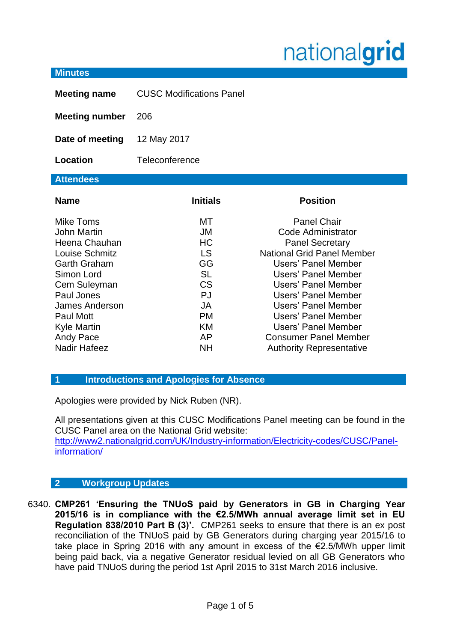## nationalgrid

## **Minutes Meeting name** CUSC Modifications Panel **Meeting number** 206 **Date of meeting** 12 May 2017 **Location** Teleconference **Attendees Name Initials Position** Mike Toms **MT** Panel Chair John Martin JM Code Administrator Heena Chauhan **HC** HC Panel Secretary Louise Schmitz LS National Grid Panel Member Garth Graham GG GG Users' Panel Member Simon Lord SL Users' Panel Member Cem Suleyman CS Users' Panel Member Paul Jones **P** PJ Users' Panel Member James Anderson JA Users' Panel Member Paul Mott **PM** Users' Panel Member Kyle Martin **KM** Users' Panel Member Andy Pace **AP** Consumer Panel Member

- 
- **1 Introductions and Apologies for Absence**

Apologies were provided by Nick Ruben (NR).

All presentations given at this CUSC Modifications Panel meeting can be found in the CUSC Panel area on the National Grid website: [http://www2.nationalgrid.com/UK/Industry-information/Electricity-codes/CUSC/Panel-](http://www2.nationalgrid.com/UK/Industry-information/Electricity-codes/CUSC/Panel-information/)

[information/](http://www2.nationalgrid.com/UK/Industry-information/Electricity-codes/CUSC/Panel-information/)

Nadir Hafeez NH Authority Representative

## **2 Workgroup Updates**

6340. **CMP261 'Ensuring the TNUoS paid by Generators in GB in Charging Year 2015/16 is in compliance with the €2.5/MWh annual average limit set in EU Regulation 838/2010 Part B (3)'.** CMP261 seeks to ensure that there is an ex post reconciliation of the TNUoS paid by GB Generators during charging year 2015/16 to take place in Spring 2016 with any amount in excess of the €2.5/MWh upper limit being paid back, via a negative Generator residual levied on all GB Generators who have paid TNUoS during the period 1st April 2015 to 31st March 2016 inclusive.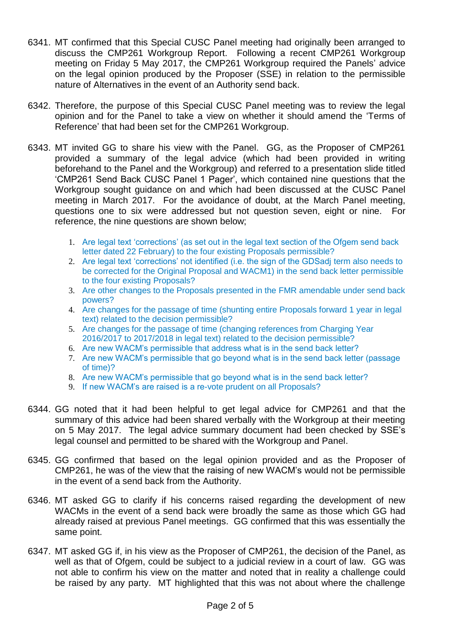- 6341. MT confirmed that this Special CUSC Panel meeting had originally been arranged to discuss the CMP261 Workgroup Report. Following a recent CMP261 Workgroup meeting on Friday 5 May 2017, the CMP261 Workgroup required the Panels' advice on the legal opinion produced by the Proposer (SSE) in relation to the permissible nature of Alternatives in the event of an Authority send back.
- 6342. Therefore, the purpose of this Special CUSC Panel meeting was to review the legal opinion and for the Panel to take a view on whether it should amend the 'Terms of Reference' that had been set for the CMP261 Workgroup.
- 6343. MT invited GG to share his view with the Panel. GG, as the Proposer of CMP261 provided a summary of the legal advice (which had been provided in writing beforehand to the Panel and the Workgroup) and referred to a presentation slide titled 'CMP261 Send Back CUSC Panel 1 Pager', which contained nine questions that the Workgroup sought guidance on and which had been discussed at the CUSC Panel meeting in March 2017. For the avoidance of doubt, at the March Panel meeting, questions one to six were addressed but not question seven, eight or nine. For reference, the nine questions are shown below;
	- 1. Are legal text 'corrections' (as set out in the legal text section of the Ofgem send back letter dated 22 February) to the four existing Proposals permissible?
	- 2. Are legal text 'corrections' not identified (i.e. the sign of the GDSadj term also needs to be corrected for the Original Proposal and WACM1) in the send back letter permissible to the four existing Proposals?
	- 3. Are other changes to the Proposals presented in the FMR amendable under send back powers?
	- 4. Are changes for the passage of time (shunting entire Proposals forward 1 year in legal text) related to the decision permissible?
	- 5. Are changes for the passage of time (changing references from Charging Year 2016/2017 to 2017/2018 in legal text) related to the decision permissible?
	- 6. Are new WACM's permissible that address what is in the send back letter?
	- 7. Are new WACM's permissible that go beyond what is in the send back letter (passage of time)?
	- 8. Are new WACM's permissible that go beyond what is in the send back letter?
	- 9. If new WACM's are raised is a re-vote prudent on all Proposals?
- 6344. GG noted that it had been helpful to get legal advice for CMP261 and that the summary of this advice had been shared verbally with the Workgroup at their meeting on 5 May 2017. The legal advice summary document had been checked by SSE's legal counsel and permitted to be shared with the Workgroup and Panel.
- 6345. GG confirmed that based on the legal opinion provided and as the Proposer of CMP261, he was of the view that the raising of new WACM's would not be permissible in the event of a send back from the Authority.
- 6346. MT asked GG to clarify if his concerns raised regarding the development of new WACMs in the event of a send back were broadly the same as those which GG had already raised at previous Panel meetings. GG confirmed that this was essentially the same point.
- 6347. MT asked GG if, in his view as the Proposer of CMP261, the decision of the Panel, as well as that of Ofgem, could be subject to a judicial review in a court of law. GG was not able to confirm his view on the matter and noted that in reality a challenge could be raised by any party. MT highlighted that this was not about where the challenge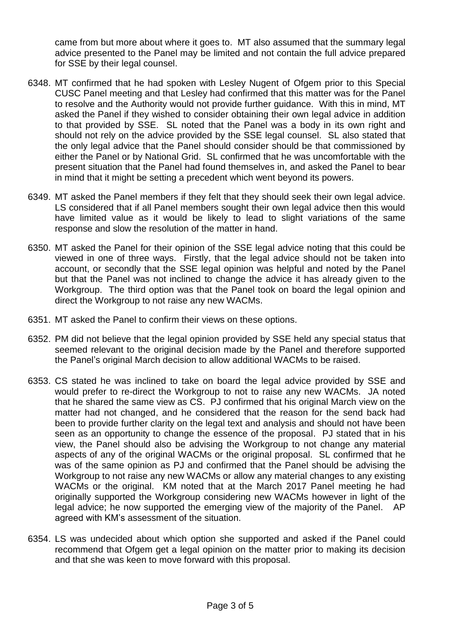came from but more about where it goes to. MT also assumed that the summary legal advice presented to the Panel may be limited and not contain the full advice prepared for SSE by their legal counsel.

- 6348. MT confirmed that he had spoken with Lesley Nugent of Ofgem prior to this Special CUSC Panel meeting and that Lesley had confirmed that this matter was for the Panel to resolve and the Authority would not provide further guidance. With this in mind, MT asked the Panel if they wished to consider obtaining their own legal advice in addition to that provided by SSE. SL noted that the Panel was a body in its own right and should not rely on the advice provided by the SSE legal counsel. SL also stated that the only legal advice that the Panel should consider should be that commissioned by either the Panel or by National Grid. SL confirmed that he was uncomfortable with the present situation that the Panel had found themselves in, and asked the Panel to bear in mind that it might be setting a precedent which went beyond its powers.
- 6349. MT asked the Panel members if they felt that they should seek their own legal advice. LS considered that if all Panel members sought their own legal advice then this would have limited value as it would be likely to lead to slight variations of the same response and slow the resolution of the matter in hand.
- 6350. MT asked the Panel for their opinion of the SSE legal advice noting that this could be viewed in one of three ways. Firstly, that the legal advice should not be taken into account, or secondly that the SSE legal opinion was helpful and noted by the Panel but that the Panel was not inclined to change the advice it has already given to the Workgroup. The third option was that the Panel took on board the legal opinion and direct the Workgroup to not raise any new WACMs.
- 6351. MT asked the Panel to confirm their views on these options.
- 6352. PM did not believe that the legal opinion provided by SSE held any special status that seemed relevant to the original decision made by the Panel and therefore supported the Panel's original March decision to allow additional WACMs to be raised.
- 6353. CS stated he was inclined to take on board the legal advice provided by SSE and would prefer to re-direct the Workgroup to not to raise any new WACMs. JA noted that he shared the same view as CS. PJ confirmed that his original March view on the matter had not changed, and he considered that the reason for the send back had been to provide further clarity on the legal text and analysis and should not have been seen as an opportunity to change the essence of the proposal. PJ stated that in his view, the Panel should also be advising the Workgroup to not change any material aspects of any of the original WACMs or the original proposal. SL confirmed that he was of the same opinion as PJ and confirmed that the Panel should be advising the Workgroup to not raise any new WACMs or allow any material changes to any existing WACMs or the original. KM noted that at the March 2017 Panel meeting he had originally supported the Workgroup considering new WACMs however in light of the legal advice; he now supported the emerging view of the majority of the Panel. AP agreed with KM's assessment of the situation.
- 6354. LS was undecided about which option she supported and asked if the Panel could recommend that Ofgem get a legal opinion on the matter prior to making its decision and that she was keen to move forward with this proposal.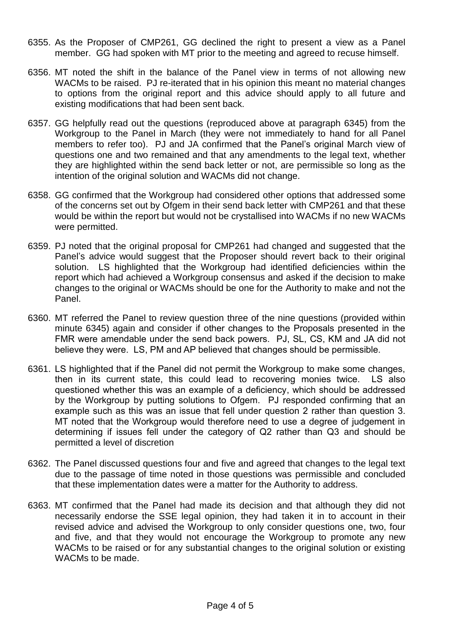- 6355. As the Proposer of CMP261, GG declined the right to present a view as a Panel member. GG had spoken with MT prior to the meeting and agreed to recuse himself.
- 6356. MT noted the shift in the balance of the Panel view in terms of not allowing new WACMs to be raised. PJ re-iterated that in his opinion this meant no material changes to options from the original report and this advice should apply to all future and existing modifications that had been sent back.
- 6357. GG helpfully read out the questions (reproduced above at paragraph 6345) from the Workgroup to the Panel in March (they were not immediately to hand for all Panel members to refer too). PJ and JA confirmed that the Panel's original March view of questions one and two remained and that any amendments to the legal text, whether they are highlighted within the send back letter or not, are permissible so long as the intention of the original solution and WACMs did not change.
- 6358. GG confirmed that the Workgroup had considered other options that addressed some of the concerns set out by Ofgem in their send back letter with CMP261 and that these would be within the report but would not be crystallised into WACMs if no new WACMs were permitted.
- 6359. PJ noted that the original proposal for CMP261 had changed and suggested that the Panel's advice would suggest that the Proposer should revert back to their original solution. LS highlighted that the Workgroup had identified deficiencies within the report which had achieved a Workgroup consensus and asked if the decision to make changes to the original or WACMs should be one for the Authority to make and not the Panel.
- 6360. MT referred the Panel to review question three of the nine questions (provided within minute 6345) again and consider if other changes to the Proposals presented in the FMR were amendable under the send back powers. PJ, SL, CS, KM and JA did not believe they were. LS, PM and AP believed that changes should be permissible.
- 6361. LS highlighted that if the Panel did not permit the Workgroup to make some changes, then in its current state, this could lead to recovering monies twice. LS also questioned whether this was an example of a deficiency, which should be addressed by the Workgroup by putting solutions to Ofgem. PJ responded confirming that an example such as this was an issue that fell under question 2 rather than question 3. MT noted that the Workgroup would therefore need to use a degree of judgement in determining if issues fell under the category of Q2 rather than Q3 and should be permitted a level of discretion
- 6362. The Panel discussed questions four and five and agreed that changes to the legal text due to the passage of time noted in those questions was permissible and concluded that these implementation dates were a matter for the Authority to address.
- 6363. MT confirmed that the Panel had made its decision and that although they did not necessarily endorse the SSE legal opinion, they had taken it in to account in their revised advice and advised the Workgroup to only consider questions one, two, four and five, and that they would not encourage the Workgroup to promote any new WACMs to be raised or for any substantial changes to the original solution or existing WACMs to be made.